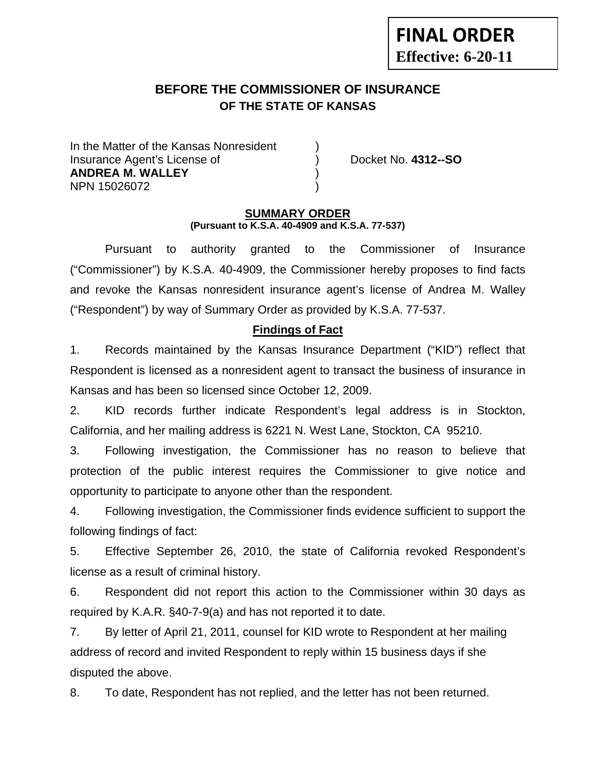# **BEFORE THE COMMISSIONER OF INSURANCE OF THE STATE OF KANSAS**

In the Matter of the Kansas Nonresident Insurance Agent's License of ) Docket No. **4312--SO ANDREA M. WALLEY** ) NPN 15026072 )

**FINAL ORDER**

**Effective: 6-20-11** 

#### **SUMMARY ORDER (Pursuant to K.S.A. 40-4909 and K.S.A. 77-537)**

 Pursuant to authority granted to the Commissioner of Insurance ("Commissioner") by K.S.A. 40-4909, the Commissioner hereby proposes to find facts and revoke the Kansas nonresident insurance agent's license of Andrea M. Walley ("Respondent") by way of Summary Order as provided by K.S.A. 77-537.

## **Findings of Fact**

1. Records maintained by the Kansas Insurance Department ("KID") reflect that Respondent is licensed as a nonresident agent to transact the business of insurance in Kansas and has been so licensed since October 12, 2009.

2. KID records further indicate Respondent's legal address is in Stockton, California, and her mailing address is 6221 N. West Lane, Stockton, CA 95210.

3. Following investigation, the Commissioner has no reason to believe that protection of the public interest requires the Commissioner to give notice and opportunity to participate to anyone other than the respondent.

4. Following investigation, the Commissioner finds evidence sufficient to support the following findings of fact:

5. Effective September 26, 2010, the state of California revoked Respondent's license as a result of criminal history.

6. Respondent did not report this action to the Commissioner within 30 days as required by K.A.R. §40-7-9(a) and has not reported it to date.

7. By letter of April 21, 2011, counsel for KID wrote to Respondent at her mailing address of record and invited Respondent to reply within 15 business days if she disputed the above.

8. To date, Respondent has not replied, and the letter has not been returned.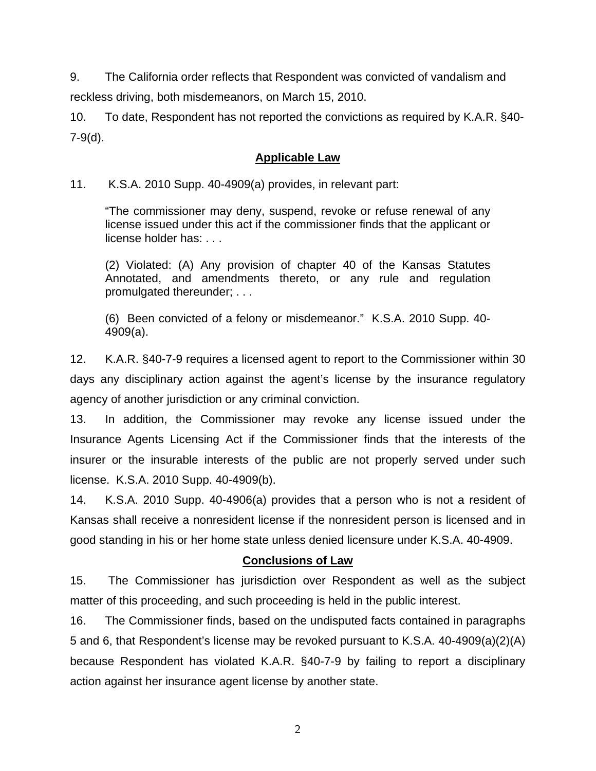9. The California order reflects that Respondent was convicted of vandalism and reckless driving, both misdemeanors, on March 15, 2010.

10. To date, Respondent has not reported the convictions as required by K.A.R. §40- 7-9(d).

## **Applicable Law**

### 11. K.S.A. 2010 Supp. 40-4909(a) provides, in relevant part:

"The commissioner may deny, suspend, revoke or refuse renewal of any license issued under this act if the commissioner finds that the applicant or license holder has: . . .

(2) Violated: (A) Any provision of chapter 40 of the Kansas Statutes Annotated, and amendments thereto, or any rule and regulation promulgated thereunder; . . .

(6) Been convicted of a felony or misdemeanor." K.S.A. 2010 Supp. 40- 4909(a).

12. K.A.R. §40-7-9 requires a licensed agent to report to the Commissioner within 30 days any disciplinary action against the agent's license by the insurance regulatory agency of another jurisdiction or any criminal conviction.

13. In addition, the Commissioner may revoke any license issued under the Insurance Agents Licensing Act if the Commissioner finds that the interests of the insurer or the insurable interests of the public are not properly served under such license. K.S.A. 2010 Supp. 40-4909(b).

14. K.S.A. 2010 Supp. 40-4906(a) provides that a person who is not a resident of Kansas shall receive a nonresident license if the nonresident person is licensed and in good standing in his or her home state unless denied licensure under K.S.A. 40-4909.

## **Conclusions of Law**

15. The Commissioner has jurisdiction over Respondent as well as the subject matter of this proceeding, and such proceeding is held in the public interest.

16. The Commissioner finds, based on the undisputed facts contained in paragraphs 5 and 6, that Respondent's license may be revoked pursuant to K.S.A. 40-4909(a)(2)(A) because Respondent has violated K.A.R. §40-7-9 by failing to report a disciplinary action against her insurance agent license by another state.

2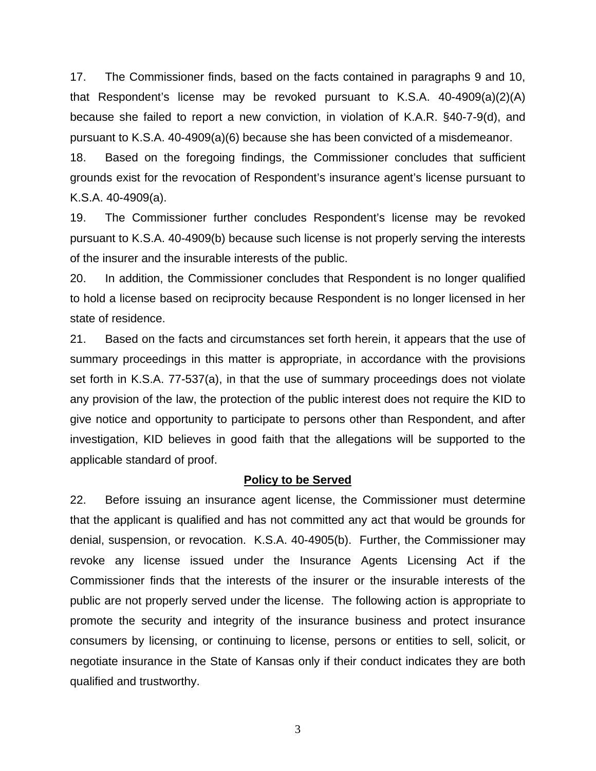17. The Commissioner finds, based on the facts contained in paragraphs 9 and 10, that Respondent's license may be revoked pursuant to K.S.A. 40-4909(a)(2)(A) because she failed to report a new conviction, in violation of K.A.R. §40-7-9(d), and pursuant to K.S.A. 40-4909(a)(6) because she has been convicted of a misdemeanor.

18. Based on the foregoing findings, the Commissioner concludes that sufficient grounds exist for the revocation of Respondent's insurance agent's license pursuant to K.S.A. 40-4909(a).

19. The Commissioner further concludes Respondent's license may be revoked pursuant to K.S.A. 40-4909(b) because such license is not properly serving the interests of the insurer and the insurable interests of the public.

20. In addition, the Commissioner concludes that Respondent is no longer qualified to hold a license based on reciprocity because Respondent is no longer licensed in her state of residence.

21. Based on the facts and circumstances set forth herein, it appears that the use of summary proceedings in this matter is appropriate, in accordance with the provisions set forth in K.S.A. 77-537(a), in that the use of summary proceedings does not violate any provision of the law, the protection of the public interest does not require the KID to give notice and opportunity to participate to persons other than Respondent, and after investigation, KID believes in good faith that the allegations will be supported to the applicable standard of proof.

#### **Policy to be Served**

22. Before issuing an insurance agent license, the Commissioner must determine that the applicant is qualified and has not committed any act that would be grounds for denial, suspension, or revocation. K.S.A. 40-4905(b). Further, the Commissioner may revoke any license issued under the Insurance Agents Licensing Act if the Commissioner finds that the interests of the insurer or the insurable interests of the public are not properly served under the license. The following action is appropriate to promote the security and integrity of the insurance business and protect insurance consumers by licensing, or continuing to license, persons or entities to sell, solicit, or negotiate insurance in the State of Kansas only if their conduct indicates they are both qualified and trustworthy.

3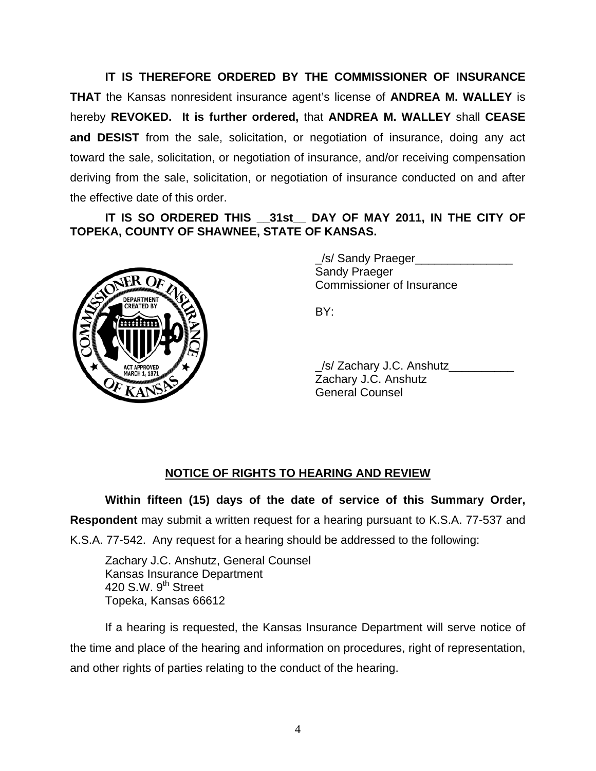**IT IS THEREFORE ORDERED BY THE COMMISSIONER OF INSURANCE THAT** the Kansas nonresident insurance agent's license of **ANDREA M. WALLEY** is hereby **REVOKED. It is further ordered,** that **ANDREA M. WALLEY** shall **CEASE and DESIST** from the sale, solicitation, or negotiation of insurance, doing any act toward the sale, solicitation, or negotiation of insurance, and/or receiving compensation deriving from the sale, solicitation, or negotiation of insurance conducted on and after the effective date of this order.

## **IT IS SO ORDERED THIS \_\_31st\_\_ DAY OF MAY 2011, IN THE CITY OF TOPEKA, COUNTY OF SHAWNEE, STATE OF KANSAS.**



/s/ Sandy Praeger Sandy Praeger Commissioner of Insurance

 \_/s/ Zachary J.C. Anshutz\_\_\_\_\_\_\_\_\_\_ Zachary J.C. Anshutz General Counsel

# **NOTICE OF RIGHTS TO HEARING AND REVIEW**

**Within fifteen (15) days of the date of service of this Summary Order, Respondent** may submit a written request for a hearing pursuant to K.S.A. 77-537 and

K.S.A. 77-542. Any request for a hearing should be addressed to the following:

 Zachary J.C. Anshutz, General Counsel Kansas Insurance Department 420 S.W.  $9<sup>th</sup>$  Street Topeka, Kansas 66612

If a hearing is requested, the Kansas Insurance Department will serve notice of the time and place of the hearing and information on procedures, right of representation, and other rights of parties relating to the conduct of the hearing.